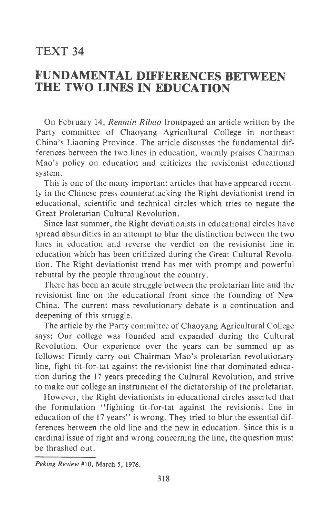## TEXT 34

# FUNDAMENTAL DIFFERENCES BETWEEN THE TWO LINES IN EDUCATION

On February 14, Renmin Ribao frontpaged an article written by the Party committee of Chaoyang Agricultural College in northeast China's Liaoning Province. The article discusses the fundamental differences between the two lines in education, warmly praises Chairman Mao's policy on education and criticizes the revisionist educational system.

This is one of the many important articles that have appeared recently in the Chinese press counterattacking the Right deviationist trend in educational, scientific and technical circles which tries to negate the Great Proletarian Cultural Revolution.

Since last summer, the Right deviationists in educational circles have spread absurdities in an attempt to blur the distinction between the two lines in education and reverse the verdict on the revisionist line in education which has been criticized during the Great Cultural Revolution. The Right deviationist trend has met with prompt and powerful rebuttal by the people throughout the country.

There has been an acute struggle between the proletarian line and the revisionist line on the educational front since the founding of New China. The current mass revolutionary debate is a continuation and deepening of this struggle.

The article by the Party committee of Chaoyang Agricultural College says: Our college was founded and expanded during the Cultural Revolution. Our experience over the years can be summed up as follows: Firmly carry out Chairman Mao's proletarian revolutionary line, fight tit-for-tat against the revisionist line that dominated education during the l7 years preceding the Cultural Revolution, and strive to make our college an instrument of the dictatorship of the proletariat.

However, the Right deviationists in educational circles asserted that the formulation "fighting tit-for-tat against the revisionist line in education of the 17 years" is wrong. They tried to blur the essential differences between the old line and the new in education. Since this is a cardinal issue of right and wrong concerning the line, the question must be thrashed out.

Peking Review #10, March 5, 1976.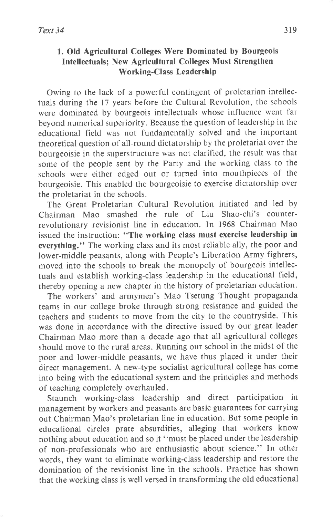### 1. Old Agricultural Colleges Were Dominated by Bourgeois Intellectuals; New Agricultural Colleges Must Strengthen Working-Class Leadership

Owing to the lack of a powerful contingent of proletarian intellectuals during the l7 years before the Cultural Revolution, the schools were dominated by bourgeois intellectuals whose influence went far beyond numerical superiority. Because the question of leadership in the educational field was not fundamentally solved and the important theoretical question of all-round dictatorship by the proletariat over the bourgeoisie in the superstructure was not clarified, the result was that some of the people sent by the Party and the working class to the schools were either edged out or turned into mouthpieces of the bourgeoisie. This enabled the bourgeoisie to exercise dictatorship over the proletariat in the schools.

The Great Proletarian Cultural Revolution initiated and led by Chairman Mao smashed the rule of Liu Shao-chi's counterrevolutionary revisionist line in education. In 1968 Chairman Mao issued the instruction: "The working class must exercise leadership in everything." The working class and its most reliable ally, the poor and lower-middle peasants, along with People's Liberation Army fighters, moved into the schools to break the monopoly of bourgeois intellectuals and establish working-class leadership in the educational field, thereby opening a new chapter in the history of proletarian education.

The workers' and armymen's Mao Tsetung Thought propaganda teams in our college broke through strong resistance and guided the teachers and students to move from the city to the countryside. This was done in accordance with the directive issued by our great leader Chairman Mao more than a decade ago that all agricultural colleges should move to the rural areas. Running our school in the midst of the poor and lower-middle peasants, we have thus placed it under their direct management. A new-type socialist agricultural college has come into being with the educational system and the principles and methods of teaching completely overhauled.

Staunch working-class leadership and direct participation in management by workers and peasants are basic guarantees for carrying out Chairman Mao's proletarian line in education. But some people in educational circles prate absurdities, alleging that workers know nothing about education and so it "must be placed under the leadership of non-professionals who are enthusiastic about science." In other words, they want to eliminate working-class leadership and restore the domination of the revisionist line in the schools. Practice has shown that the working class is well versed in transforming the old educational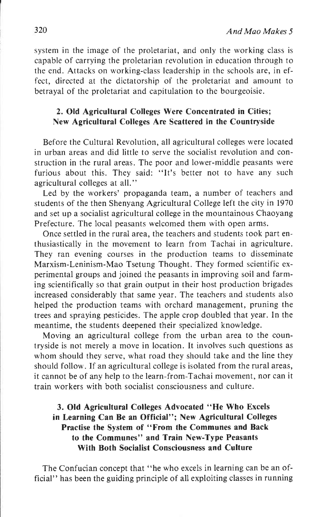system in the image of the proletariat, and only the working class is capable of carrying the proletarian revolution in education through to the end. Attacks on working-class leadership in the schools are, in effect, directed at the dictatorship of the proletariat and amount to betrayal of the proletariat and capitulation to the bourgeoisie.

#### 2. Old Agricultural Colleges Were Concentrated in Cities; New Agricultural Colleges Are Scattered in the Countryside

Before the Cultural Revolution, all agricultural colleges were located in urban areas and did little to serve the socialist revolution and construction in the rural areas. The poor and lower-middle peasants were furious about this. They said: "It's better not to have any such agricultural colleges at all."

Led by the workers' propaganda team, a number of teachers and students of the then Shenyang Agricultural College left the city in <sup>1970</sup> and set up a socialist agricultural college in the mountainous Chaoyang Prefecture. The local peasants welcomed them with open arms.

Once settled in the rural area, the teachers and students took part enthusiastically in the movement to learn from Tachai in agriculture. They ran evening courses in the production teams to disseminate Marxism-Leninism-Mao Tsetung Thought. They formed scientific experimental groups and joined the peasants in improving soil and farming scientifically so that grain output in their host production brigades increased considerably that same year. The teachers and students also helped the production teams with orchard management, pruning the trees and spraying pesticides. The apple crop doubled that year. In the meantime, the students deepened their specialized knowledge.

Moving an agricultural college from the urban area to the countryside is not merely a move in location. It involves such questions as whom should they serve, what road they should take and the line they should follow. If an agricultural college is isolated from the rural areas, it cannot be of any help to the learn-from-Tachai movement, nor can it train workers with both socialist consciousness and culture.

## 3. Old Agricultural Colleges Advocated "He Who Excels in Learning Can Be an Official"; New Agricultural Colleges Practise the System of "From the Communes and Back to the Communes" and Train New-Type Peasants With Both Socialist Consciousness and Culture

The Confucian concept that "he who excels in learning can be an official" has been the guiding principle of all exploiting classes in running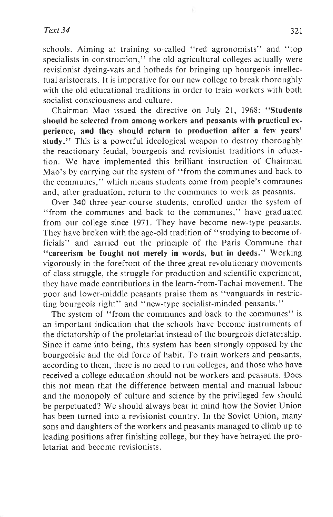schools. Aiming at training so-called "red agronomists" and "top specialists in construction," the old agricultural colleges actually were revisionist dyeing-vats and hotbeds for bringing up bourgeois intellectual aristocrats. It is imperative for our new college to break thoroughly with the old educational traditions in order to train workers with both socialist consciousness and culture.

Chairman Mao issued the directive on July 21, 1968: "Students should be selected from among workers and peasants with practical experience, and they should return to production after a few years' study." This is a powerful ideological weapon to destroy thoroughly the reactionary feudal, bourgeois and revisionist traditions in education. We have implemented this brilliant instruction of Chairman Mao's by carrying out the system of "from the communes and back to the communes," which means students come from people's communes and, after graduation, return to the communes to work as peasants.

Over 340 three-year-course students, enrolled under the system of "from the communes and back to the communes," have graduated from our college since 1971. They have become new-type peasants. They have broken with the age-old tradition of "studying to become officials" and carried out the principle of the Paris Commune that "careerism be fought not merely in words, but in deeds." Working vigorously in the forefront of the three great revolutionary movements of class struggle, the struggle for production and scientific experiment, they have made contributions in the learn-from-Tachai movement. The poor and lower-middle peasants praise them as "vanguards in restricting bourgeois right" and "new-type socialist-minded peasants."

The system of "from the communes and back to the communes" is an important indication that the schools have become instruments of the dictatorship of the proletariat instead of the bourgeois dictatorship. Since it came into being, this system has been strongly opposed by the bourgeoisie and the old force of habit. To train workers and peasants, according to them, there is no need to run colleges, and those who have received a college education should not be workers and peasants. Does this not mean that the difference between mental and manual labour and the monopoly of culture and science by the privileged few should be perpetuated? We should always bear in mind how the Soviet Union has been turned into a revisionist country. In the Soviet Union, many sons and daughters of the workers and peasants managed to climb up to leading positions after finishing college, but they have betrayed the proletariat and become revisionists.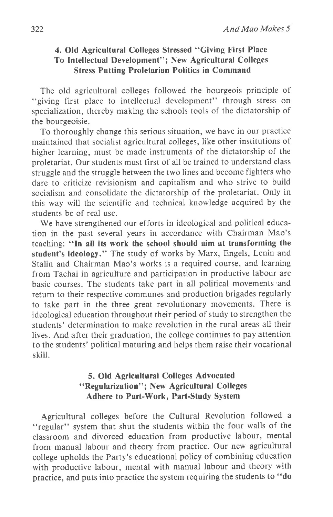## 4. Old Agricultural Colleges Stressed "Giving First Place To Intellectual Development"; New Agricultural Colleges Stress Putting Proletarian Politics in Command

The old agricultural colleges followed the bourgeois principle of "giving first place to intellectual development" through stress on specialization, thereby making the schools tools of the dictatorship of the bourgeoisie.

To thoroughly change this serious situation, we have in our practice maintained that socialist agricultural colleges, like other institutions of higher learning, must be made instruments of the dictatorship of the proletariat. Our students must first of all be trained to understand class struggle and the struggle between the two lines and become fighters who dare to criticize revisionism and capitalism and who strive to build socialism and consolidate the dictatorship of the proletariat. Only in this way will the scientific and technical knowledge acquired by the students be of real use.

We have strengthened our efforts in ideological and political education in the past several years in accordance with Chairman Mao's teaching: "In all its work the school should aim at transforming the student's ideology." The study of works by Marx, Engels, Lenin and Stalin and Chairman Mao's works is a required course, and learning from Tachai in agriculture and participation in productive labour are basic courses. The students take part in all political movements'and return to their respective communes and production brigades regularly to take part in the three great revolutionary movements. There is ideological education throughout their period of study to strengthen the students' determination to make revolution in the rural areas all their lives. And after their graduation, the college continues to pay attention to the students' political maturing and helps them raise their vocational skill.

### 5. Old Agricultural Colleges Advocated "Regularization"; New Agricultural Colleges Adhere to Part-Work, Part-Study System

Agricultural colleges before the Cultural Revolution followed <sup>a</sup> "regular" system that shut the students within the four walls of the classroom and divorced education from productive labour, mental from manual labour and theory from practice. Our new agricultural college upholds the Party's educational policy of combining education with productive labour, mental with manual labour and theory with practice, and puts into practice the system requiring the students to "do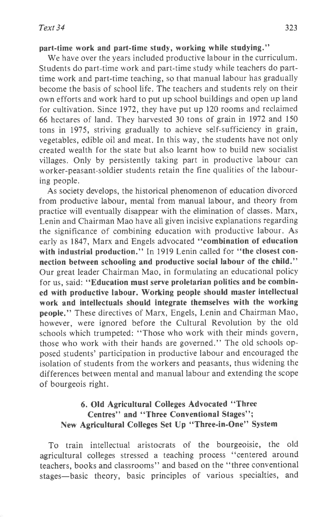#### part-time work and part-time study, working while studying."

We have over the years included productive labour in the curriculum. Students do part-time work and part-time study while teachers do parttime work and part-time teaching, so that manual labour has gradually become the basis of school life. The teachers and students rely on their own efforts and work hard to put up school buildings and open up land for cultivation. Since 1972, they have put up 120 rooms and reclaimed 66 hectares of land. They harvested 30 tons of grain in 19'72 and l5O tons in 1975, striving gradually to achieve self-sufficiency in grain, vegetables, edible oil and meat. In this way, the students have not only created wealth for the state but also learnt how to build new socialist villages. Only by persistently taking part in productive labour can worker-peasant-soldier students retain the fine qualities of the labouring people.

As society develops, the historical phenomenon of education divorced from productive labour, mental from manual labour, and theory from practice will eventually disappear with the elimination of classes. Marx, Lenin and Chairman Mao have all given incisive explanations regarding the significance of combining education with productive labour. As early as 1847, Marx and Engels advocated "combination of education with industrial production." In 1919 Lenin called for "the closest connection between schooling and productive social labour of the child." Our great leader Chairman Mao, in formulating an educational policy for us, said: "Education must serve proletarian politics and be combined with productive labour. Working people should master intellectual work and intellectuals should integrate themselves with the working people." These directives of Marx, Engels, Lenin and Chairman Mao, however, were ignored before the Cultural Revolution by the old schools which trumpeted: "Those who work with their minds govern, those who work with their hands are governed." The old schools opposed students' participation in productive labour and encouraged the isolation of students from the workers and peasants, thus widening the differences between mental and manual labour and extending the scope of bourgeois right.

#### 6. Old Agricultural Colleges Advocated "Three Centres" and "Three Conventional Stages"; New Agricultural Colleges Set Up "Three-in-One" System

To train intellectual aristocrats of the bourgeoisie, the old agricultural colleges stressed a teaching process "centered around teachers, books and classrooms" and based on the "three conventional stages-basic theory, basic principles of various specialties, and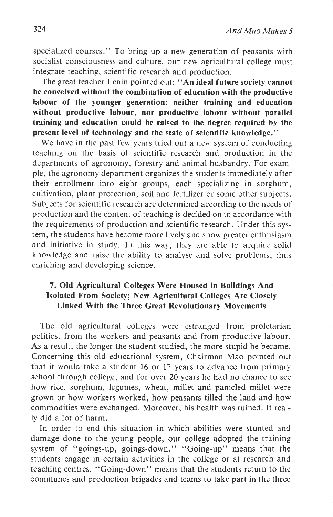specialized courses." To bring up a new generation of peasants with socialist consciousness and culture, our new agricultural college must integrate teaching, scientific research and production.

The great teacher Lenin pointed out: "An ideal future society cannot be conceived without the combination of education with the productive labour of the younger generation: neither training and education without productive labour, nor productive labour without parallel training and education could be raised to the degree required by the present level of technology and the state of scientific knowledge."

We have in the past few years tried out a new system of conducting teaching on the basis of scientific research and production in the departments of agronomy, forestry and animal husbandry. For example, the agronomy department organizes the students immediately after their enrollment into eight groups, each specializing in sorghum, cultivation, plant protection, soil and fertilizer or some other subjects. Subjects for scientific research are determined according to the needs of production and the content of teaching is decided on in accordance with the requirements of production and scientific research. Under this system, the students have become more lively and show greater enthusiasm and initiative in study. In this way, they are able to acquire solid knowledge and raise the ability to analyse and solve problems, thus enriching and developing science.

#### 7. Old Agricultural Colleges Were Housed in Buildings And' Isolated From Society; New Agricultural Colleges Are Closely Linked With the Three Great Revolutionary Movements

The old agricultural colleges were estranged from proletarian politics, from the workers and peasants and from productive labour. As a result, the longer the student studied, the more stupid he became. Concerning this old educational system, Chairman Mao pointed out that it would take a student 16 or 17 years to advance from primary school through college, and for over 20 years he had no chance to see how rice, sorghum, legumes, wheat, millet and panicled millet were grown or how workers worked, how peasants tilled the land and how commodities were exchanged. Moreover, his health was ruined. It really did a lot of harm.

In order to end this situation in which abilities were stunted and damage done to the young people, our college adopted the training system of "goings-up, goings-down." "Going-up" means that the students engage in certain activities in the college or at research and teaching centres. "Going-down" means that the students return to the communes and production brigades and teams to take part in the three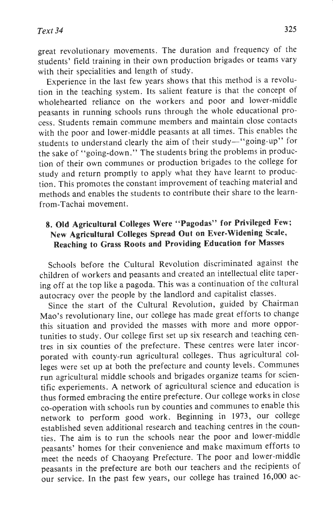great revolutionary movements. The duration and frequency of the students' field training in their own production brigades or teams vary with their specialities and length of study.

Experience in the last few years shows that this method is a revolution in the teaching system. Its salient feature is that the concept of wholehearted reliance on the workers and poor and lower-middle peasants in running schools runs through the whole educational process. Students remain commune members and maintain close contacts with the poor and lower-middle peasants at all times. This enables the students to understand clearly the aim of their study-"going-up" for the sake of "going-down." The students bring the problems in production of their own communes or production brigades to the college for study and return promptly to apply what they have learnt to production. This promotes the constant improvement of teaching material and methods and enables the students to contribute their share to the learnfrom-Tachai movement.

## E. Old Agricultural Colleges Were "Pagodas" for Privileged Few; New Agricultural Colleges Spread Out on Ever-Widening Scale, Reaching to Grass Roots and Providing Education for Masses

Schools before the cultural Revolution discriminated against the children of workers and peasants and created an intellectual elite tapering off at the top like a pagoda. This was a continuation of the cultural autocracy over the people by the landlord and capitalist classes.

Since the start of the Cultural Revolution, guided by Chairman Mao's revolutionary line, our college has made great efforts to change this situation and provided the masses with more and more opportunities to study. Our college first set up six research and teaching centres in six counties of the prefecture. These centres were later incorporated with county-run agricultural colleges. Thus agricultural colleges were set up at both the prefecture and county levels. Communes run agricultural middle schools and brigades organize teams for scientific experiements. A network of agricultural science and education is thus formed embracing the entire prefecture. Our college works in close co-operation with schools run by counties and communes to enable this network to perform good work. Beginning in 1973, our college established seven additional research and teaching centres in the counties. The aim is to run the schools near the poor and lower-middle peasants' homes for their convenience and make maximum efforts to meet the needs of Chaoyang Prefecture. The poor and lower-middle peasants in the prefecture are both our teachers and the recipients of our service. In the past few years, our college has trained 16,000 ac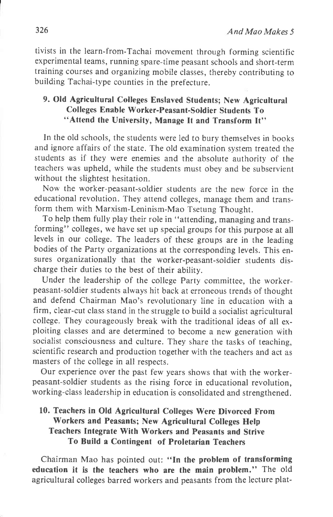tivists in the learn-from-Tachai movement through forming scientific experimental teams, running spare-time peasant schools and short-term training courses and organizing mobile classes, thereby contributing to building Tachai-type counties in the prefecture.

## 9. Old Agricultural Colleges Enslaved Students; New Agricultural Colleges Enable Worker-Peasant-soldier Students To "Attend the University, Manage It and Transform It"

In the old schools, the students were led to bury themselves in books and ignore affairs of the state. The old examination system treated the students as if they were enemies and the absolute authority of the teachers was upheld, while the students must obey and be subservient without the slightest hesitation.

Now the worker-peasant-soldier students are the new force in the educational revolution. They attend colleges, manage them and transform them with Marxism-Leninism-Mao Tsetung Thought.

To help them fully play their role in "attending, managing and transforming" colleges, we have set up special groups for this purpose at all levels in our college. The leaders of these groups are in the leading bodies of the Party organizations at the corresponding levels. This ensures organizationally that the worker-peasant-soldier students discharge their duties to the best of their ability.

Under the leadership of the college Party committee, the workerpeasant-soldier students always hit back at erroneous trends of thought and defend Chairman Mao's revolutionary line in education with <sup>a</sup> firm, clear-cut class stand in the struggle to build a socialist agricultural college. They courageously break with the traditional ideas of all exploiting classes and are determined to become a new generation with socialist consciousness and culture. They share the tasks of teaching, scientific research and production together with the teachers and act as masters of the college in all respects.

Our experience over the past few years shows that with the workerpeasant-soldier students as the rising force in educational revolution, working-class leadership in education is consolidated and strengthened.

## 10. Teachers in Old Agricultural Colleges Were Divorced From Workers and Peasants; New Agricultural Colleges Help Teachers Integrate With Workers and Peasants and Strive To Build a Contingent of Proletarian Teachers

Chairman Mao has pointed out: "In the problem of transforming education it is the teachers who are the main problem." The old agricultural colleges barred workers and peasants from the lecture plat